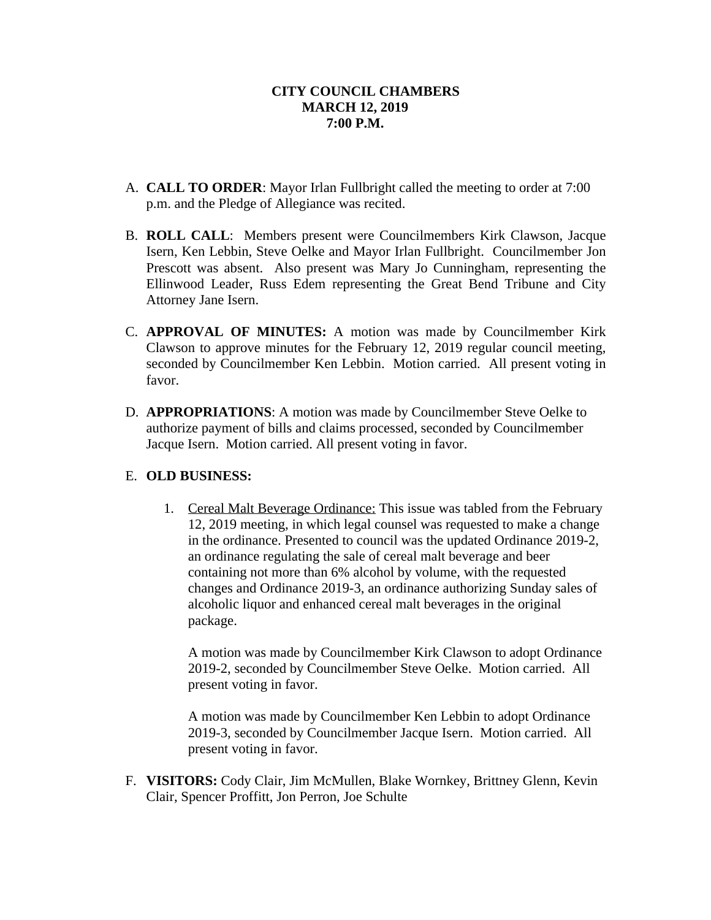- A. **CALL TO ORDER**: Mayor Irlan Fullbright called the meeting to order at 7:00 p.m. and the Pledge of Allegiance was recited.
- B. **ROLL CALL**: Members present were Councilmembers Kirk Clawson, Jacque Isern, Ken Lebbin, Steve Oelke and Mayor Irlan Fullbright. Councilmember Jon Prescott was absent. Also present was Mary Jo Cunningham, representing the Ellinwood Leader, Russ Edem representing the Great Bend Tribune and City Attorney Jane Isern.
- C. **APPROVAL OF MINUTES:** A motion was made by Councilmember Kirk Clawson to approve minutes for the February 12, 2019 regular council meeting, seconded by Councilmember Ken Lebbin. Motion carried. All present voting in favor.
- D. **APPROPRIATIONS**: A motion was made by Councilmember Steve Oelke to authorize payment of bills and claims processed, seconded by Councilmember Jacque Isern. Motion carried. All present voting in favor.

# E. **OLD BUSINESS:**

1. Cereal Malt Beverage Ordinance: This issue was tabled from the February 12, 2019 meeting, in which legal counsel was requested to make a change in the ordinance. Presented to council was the updated Ordinance 2019-2, an ordinance regulating the sale of cereal malt beverage and beer containing not more than 6% alcohol by volume, with the requested changes and Ordinance 2019-3, an ordinance authorizing Sunday sales of alcoholic liquor and enhanced cereal malt beverages in the original package.

A motion was made by Councilmember Kirk Clawson to adopt Ordinance 2019-2, seconded by Councilmember Steve Oelke. Motion carried. All present voting in favor.

A motion was made by Councilmember Ken Lebbin to adopt Ordinance 2019-3, seconded by Councilmember Jacque Isern. Motion carried. All present voting in favor.

F. **VISITORS:** Cody Clair, Jim McMullen, Blake Wornkey, Brittney Glenn, Kevin Clair, Spencer Proffitt, Jon Perron, Joe Schulte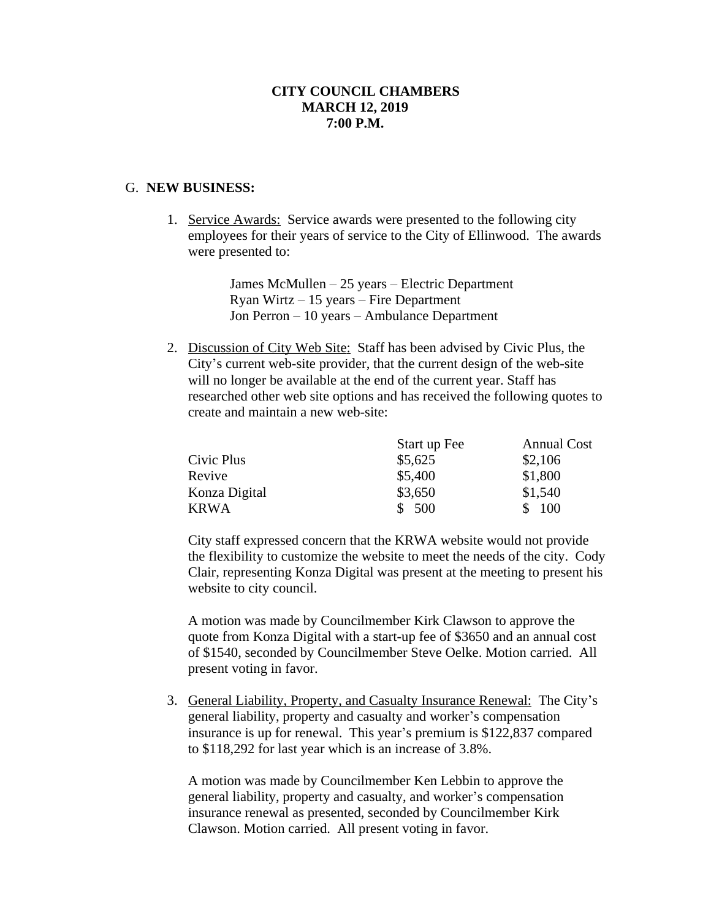#### G. **NEW BUSINESS:**

1. Service Awards: Service awards were presented to the following city employees for their years of service to the City of Ellinwood. The awards were presented to:

> James McMullen – 25 years – Electric Department Ryan Wirtz – 15 years – Fire Department Jon Perron – 10 years – Ambulance Department

2. Discussion of City Web Site: Staff has been advised by Civic Plus, the City's current web-site provider, that the current design of the web-site will no longer be available at the end of the current year. Staff has researched other web site options and has received the following quotes to create and maintain a new web-site:

|               | Start up Fee | <b>Annual Cost</b> |
|---------------|--------------|--------------------|
| Civic Plus    | \$5,625      | \$2,106            |
| Revive        | \$5,400      | \$1,800            |
| Konza Digital | \$3,650      | \$1,540            |
| <b>KRWA</b>   | \$500        | 100                |

City staff expressed concern that the KRWA website would not provide the flexibility to customize the website to meet the needs of the city. Cody Clair, representing Konza Digital was present at the meeting to present his website to city council.

A motion was made by Councilmember Kirk Clawson to approve the quote from Konza Digital with a start-up fee of \$3650 and an annual cost of \$1540, seconded by Councilmember Steve Oelke. Motion carried. All present voting in favor.

3. General Liability, Property, and Casualty Insurance Renewal: The City's general liability, property and casualty and worker's compensation insurance is up for renewal. This year's premium is \$122,837 compared to \$118,292 for last year which is an increase of 3.8%.

A motion was made by Councilmember Ken Lebbin to approve the general liability, property and casualty, and worker's compensation insurance renewal as presented, seconded by Councilmember Kirk Clawson. Motion carried. All present voting in favor.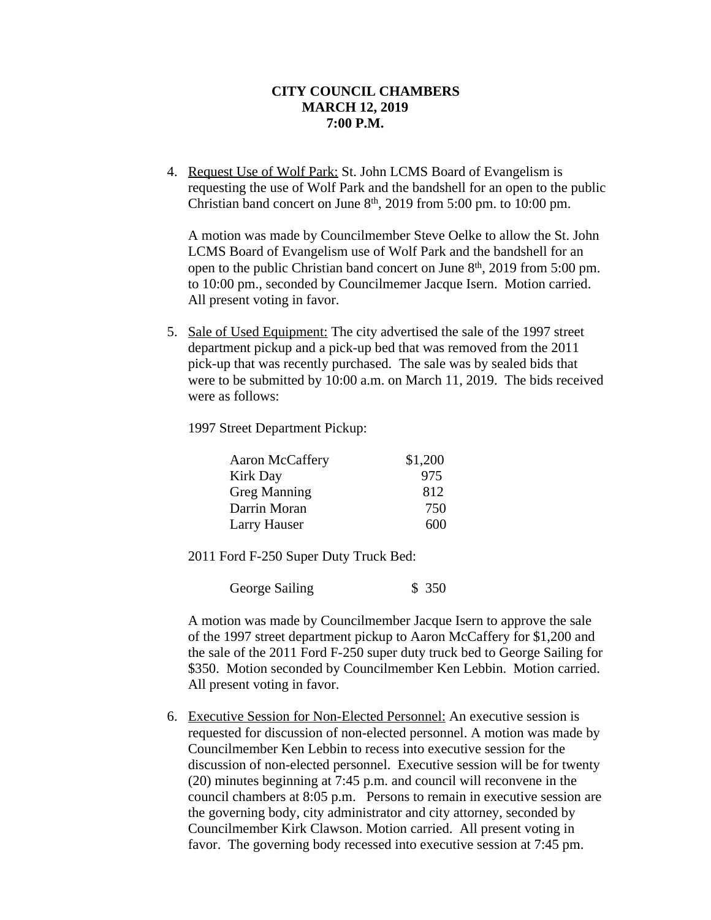4. Request Use of Wolf Park: St. John LCMS Board of Evangelism is requesting the use of Wolf Park and the bandshell for an open to the public Christian band concert on June  $8<sup>th</sup>$ , 2019 from 5:00 pm. to 10:00 pm.

A motion was made by Councilmember Steve Oelke to allow the St. John LCMS Board of Evangelism use of Wolf Park and the bandshell for an open to the public Christian band concert on June 8<sup>th</sup>, 2019 from 5:00 pm. to 10:00 pm., seconded by Councilmemer Jacque Isern. Motion carried. All present voting in favor.

5. Sale of Used Equipment: The city advertised the sale of the 1997 street department pickup and a pick-up bed that was removed from the 2011 pick-up that was recently purchased. The sale was by sealed bids that were to be submitted by 10:00 a.m. on March 11, 2019. The bids received were as follows:

1997 Street Department Pickup:

| Aaron McCaffery     | \$1,200 |
|---------------------|---------|
| <b>Kirk Day</b>     | 975     |
| <b>Greg Manning</b> | 812     |
| Darrin Moran        | 750     |
| Larry Hauser        | 600     |

2011 Ford F-250 Super Duty Truck Bed:

George Sailing \$ 350

A motion was made by Councilmember Jacque Isern to approve the sale of the 1997 street department pickup to Aaron McCaffery for \$1,200 and the sale of the 2011 Ford F-250 super duty truck bed to George Sailing for \$350. Motion seconded by Councilmember Ken Lebbin. Motion carried. All present voting in favor.

6. Executive Session for Non-Elected Personnel: An executive session is requested for discussion of non-elected personnel. A motion was made by Councilmember Ken Lebbin to recess into executive session for the discussion of non-elected personnel. Executive session will be for twenty (20) minutes beginning at 7:45 p.m. and council will reconvene in the council chambers at 8:05 p.m. Persons to remain in executive session are the governing body, city administrator and city attorney, seconded by Councilmember Kirk Clawson. Motion carried. All present voting in favor. The governing body recessed into executive session at 7:45 pm.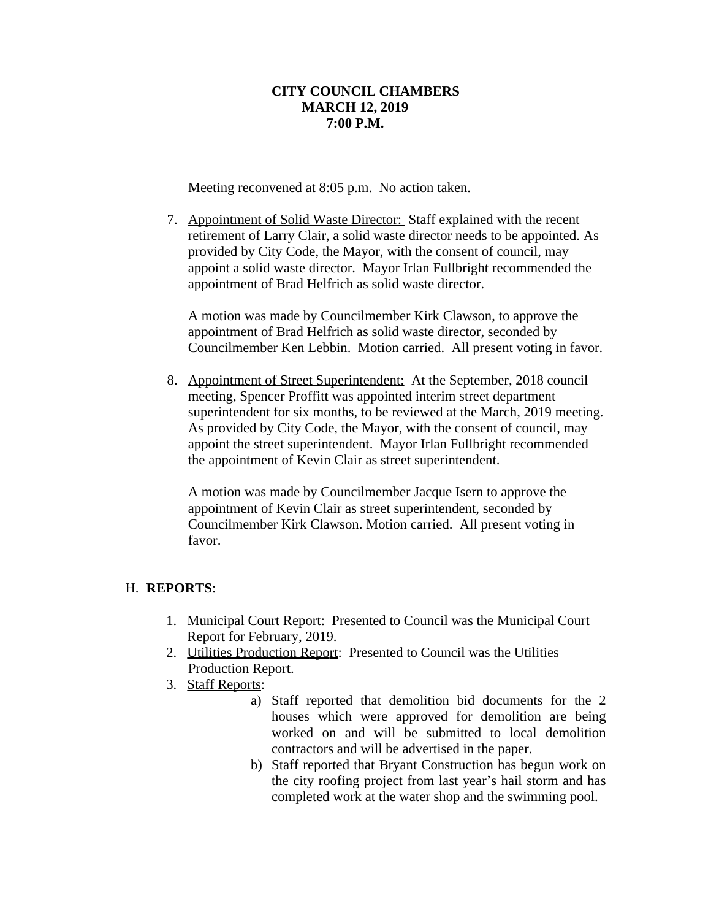Meeting reconvened at 8:05 p.m. No action taken.

7. Appointment of Solid Waste Director: Staff explained with the recent retirement of Larry Clair, a solid waste director needs to be appointed. As provided by City Code, the Mayor, with the consent of council, may appoint a solid waste director. Mayor Irlan Fullbright recommended the appointment of Brad Helfrich as solid waste director.

A motion was made by Councilmember Kirk Clawson, to approve the appointment of Brad Helfrich as solid waste director, seconded by Councilmember Ken Lebbin. Motion carried. All present voting in favor.

8. Appointment of Street Superintendent: At the September, 2018 council meeting, Spencer Proffitt was appointed interim street department superintendent for six months, to be reviewed at the March, 2019 meeting. As provided by City Code, the Mayor, with the consent of council, may appoint the street superintendent. Mayor Irlan Fullbright recommended the appointment of Kevin Clair as street superintendent.

A motion was made by Councilmember Jacque Isern to approve the appointment of Kevin Clair as street superintendent, seconded by Councilmember Kirk Clawson. Motion carried. All present voting in favor.

# H. **REPORTS**:

- 1. Municipal Court Report: Presented to Council was the Municipal Court Report for February, 2019.
- 2. Utilities Production Report: Presented to Council was the Utilities Production Report.
- 3. Staff Reports:
	- a) Staff reported that demolition bid documents for the 2 houses which were approved for demolition are being worked on and will be submitted to local demolition contractors and will be advertised in the paper.
	- b) Staff reported that Bryant Construction has begun work on the city roofing project from last year's hail storm and has completed work at the water shop and the swimming pool.